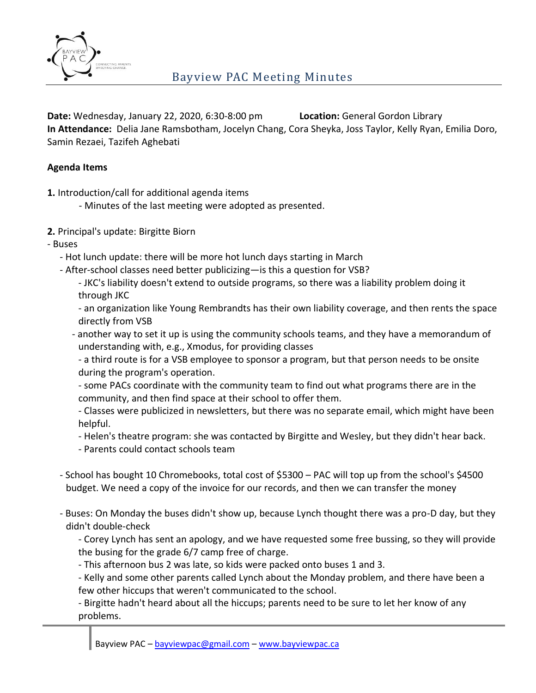

**Date:** Wednesday, January 22, 2020, 6:30-8:00 pm **Location:** General Gordon Library **In Attendance:** Delia Jane Ramsbotham, Jocelyn Chang, Cora Sheyka, Joss Taylor, Kelly Ryan, Emilia Doro, Samin Rezaei, Tazifeh Aghebati

#### **Agenda Items**

- **1.** Introduction/call for additional agenda items
	- Minutes of the last meeting were adopted as presented.
- **2.** Principal's update: Birgitte Biorn
- Buses
	- Hot lunch update: there will be more hot lunch days starting in March
	- After-school classes need better publicizing—is this a question for VSB?
		- JKC's liability doesn't extend to outside programs, so there was a liability problem doing it through JKC
		- an organization like Young Rembrandts has their own liability coverage, and then rents the space directly from VSB
		- another way to set it up is using the community schools teams, and they have a memorandum of understanding with, e.g., Xmodus, for providing classes
			- a third route is for a VSB employee to sponsor a program, but that person needs to be onsite during the program's operation.
			- some PACs coordinate with the community team to find out what programs there are in the community, and then find space at their school to offer them.
			- Classes were publicized in newsletters, but there was no separate email, which might have been helpful.
			- Helen's theatre program: she was contacted by Birgitte and Wesley, but they didn't hear back.
			- Parents could contact schools team
	- School has bought 10 Chromebooks, total cost of \$5300 PAC will top up from the school's \$4500 budget. We need a copy of the invoice for our records, and then we can transfer the money
	- Buses: On Monday the buses didn't show up, because Lynch thought there was a pro-D day, but they didn't double-check
		- Corey Lynch has sent an apology, and we have requested some free bussing, so they will provide the busing for the grade 6/7 camp free of charge.
		- This afternoon bus 2 was late, so kids were packed onto buses 1 and 3.
		- Kelly and some other parents called Lynch about the Monday problem, and there have been a few other hiccups that weren't communicated to the school.
		- Birgitte hadn't heard about all the hiccups; parents need to be sure to let her know of any problems.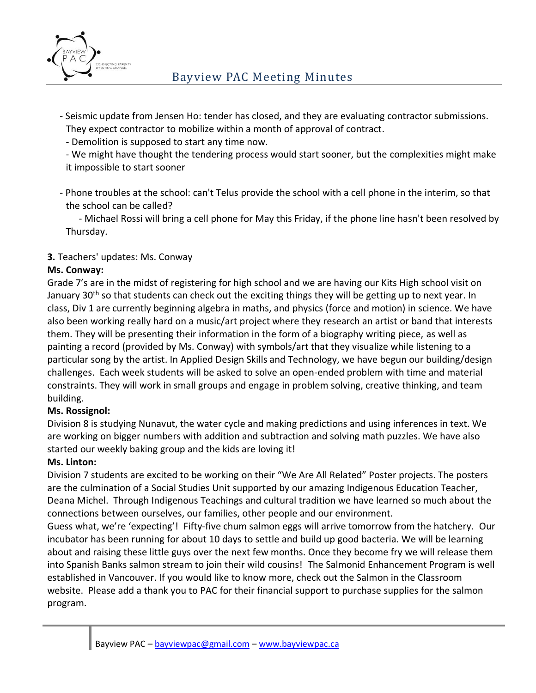

- Seismic update from Jensen Ho: tender has closed, and they are evaluating contractor submissions. They expect contractor to mobilize within a month of approval of contract.
	- Demolition is supposed to start any time now.
	- We might have thought the tendering process would start sooner, but the complexities might make it impossible to start sooner
- Phone troubles at the school: can't Telus provide the school with a cell phone in the interim, so that the school can be called?

- Michael Rossi will bring a cell phone for May this Friday, if the phone line hasn't been resolved by Thursday.

# **3.** Teachers' updates: Ms. Conway

# **Ms. Conway:**

Grade 7's are in the midst of registering for high school and we are having our Kits High school visit on January 30<sup>th</sup> so that students can check out the exciting things they will be getting up to next year. In class, Div 1 are currently beginning algebra in maths, and physics (force and motion) in science. We have also been working really hard on a music/art project where they research an artist or band that interests them. They will be presenting their information in the form of a biography writing piece, as well as painting a record (provided by Ms. Conway) with symbols/art that they visualize while listening to a particular song by the artist. In Applied Design Skills and Technology, we have begun our building/design challenges. Each week students will be asked to solve an open-ended problem with time and material constraints. They will work in small groups and engage in problem solving, creative thinking, and team building.

# **Ms. Rossignol:**

Division 8 is studying Nunavut, the water cycle and making predictions and using inferences in text. We are working on bigger numbers with addition and subtraction and solving math puzzles. We have also started our weekly baking group and the kids are loving it!

#### **Ms. Linton:**

Division 7 students are excited to be working on their "We Are All Related" Poster projects. The posters are the culmination of a Social Studies Unit supported by our amazing Indigenous Education Teacher, Deana Michel. Through Indigenous Teachings and cultural tradition we have learned so much about the connections between ourselves, our families, other people and our environment.

Guess what, we're 'expecting'! Fifty-five chum salmon eggs will arrive tomorrow from the hatchery. Our incubator has been running for about 10 days to settle and build up good bacteria. We will be learning about and raising these little guys over the next few months. Once they become fry we will release them into Spanish Banks salmon stream to join their wild cousins! The Salmonid Enhancement Program is well established in Vancouver. If you would like to know more, check out the Salmon in the Classroom website. Please add a thank you to PAC for their financial support to purchase supplies for the salmon program.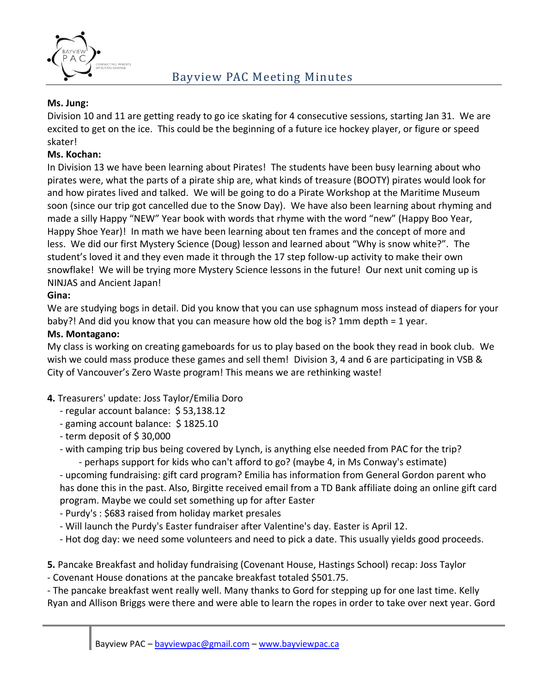

#### **Ms. Jung:**

Division 10 and 11 are getting ready to go ice skating for 4 consecutive sessions, starting Jan 31. We are excited to get on the ice. This could be the beginning of a future ice hockey player, or figure or speed skater!

#### **Ms. Kochan:**

In Division 13 we have been learning about Pirates! The students have been busy learning about who pirates were, what the parts of a pirate ship are, what kinds of treasure (BOOTY) pirates would look for and how pirates lived and talked. We will be going to do a Pirate Workshop at the Maritime Museum soon (since our trip got cancelled due to the Snow Day). We have also been learning about rhyming and made a silly Happy "NEW" Year book with words that rhyme with the word "new" (Happy Boo Year, Happy Shoe Year)! In math we have been learning about ten frames and the concept of more and less. We did our first Mystery Science (Doug) lesson and learned about "Why is snow white?". The student's loved it and they even made it through the 17 step follow-up activity to make their own snowflake! We will be trying more Mystery Science lessons in the future! Our next unit coming up is NINJAS and Ancient Japan!

# **Gina:**

We are studying bogs in detail. Did you know that you can use sphagnum moss instead of diapers for your baby?! And did you know that you can measure how old the bog is? 1mm depth = 1 year.

#### **Ms. Montagano:**

My class is working on creating gameboards for us to play based on the book they read in book club. We wish we could mass produce these games and sell them! Division 3, 4 and 6 are participating in VSB & City of Vancouver's Zero Waste program! This means we are rethinking waste!

#### **4.** Treasurers' update: Joss Taylor/Emilia Doro

- regular account balance: \$ 53,138.12
- gaming account balance: \$1825.10
- term deposit of \$ 30,000
- with camping trip bus being covered by Lynch, is anything else needed from PAC for the trip? - perhaps support for kids who can't afford to go? (maybe 4, in Ms Conway's estimate)

- upcoming fundraising: gift card program? Emilia has information from General Gordon parent who has done this in the past. Also, Birgitte received email from a TD Bank affiliate doing an online gift card program. Maybe we could set something up for after Easter

- Purdy's : \$683 raised from holiday market presales
- Will launch the Purdy's Easter fundraiser after Valentine's day. Easter is April 12.
- Hot dog day: we need some volunteers and need to pick a date. This usually yields good proceeds.
- **5.** Pancake Breakfast and holiday fundraising (Covenant House, Hastings School) recap: Joss Taylor
- Covenant House donations at the pancake breakfast totaled \$501.75.

- The pancake breakfast went really well. Many thanks to Gord for stepping up for one last time. Kelly Ryan and Allison Briggs were there and were able to learn the ropes in order to take over next year. Gord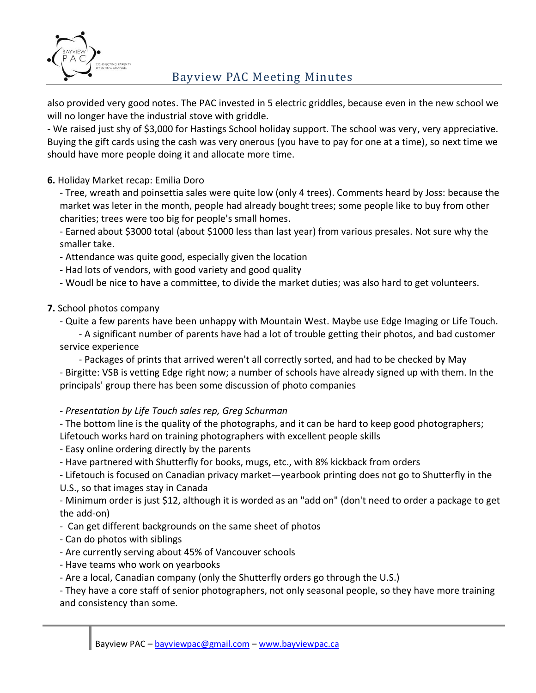

# Bayview PAC Meeting Minutes

also provided very good notes. The PAC invested in 5 electric griddles, because even in the new school we will no longer have the industrial stove with griddle.

- We raised just shy of \$3,000 for Hastings School holiday support. The school was very, very appreciative. Buying the gift cards using the cash was very onerous (you have to pay for one at a time), so next time we should have more people doing it and allocate more time.

## **6.** Holiday Market recap: Emilia Doro

- Tree, wreath and poinsettia sales were quite low (only 4 trees). Comments heard by Joss: because the market was leter in the month, people had already bought trees; some people like to buy from other charities; trees were too big for people's small homes.

- Earned about \$3000 total (about \$1000 less than last year) from various presales. Not sure why the smaller take.

- Attendance was quite good, especially given the location
- Had lots of vendors, with good variety and good quality
- Woudl be nice to have a committee, to divide the market duties; was also hard to get volunteers.

#### **7.** School photos company

- Quite a few parents have been unhappy with Mountain West. Maybe use Edge Imaging or Life Touch.

- A significant number of parents have had a lot of trouble getting their photos, and bad customer service experience

- Packages of prints that arrived weren't all correctly sorted, and had to be checked by May - Birgitte: VSB is vetting Edge right now; a number of schools have already signed up with them. In the principals' group there has been some discussion of photo companies

#### *- Presentation by Life Touch sales rep, Greg Schurman*

- The bottom line is the quality of the photographs, and it can be hard to keep good photographers; Lifetouch works hard on training photographers with excellent people skills

- Easy online ordering directly by the parents
- Have partnered with Shutterfly for books, mugs, etc., with 8% kickback from orders
- Lifetouch is focused on Canadian privacy market—yearbook printing does not go to Shutterfly in the

#### U.S., so that images stay in Canada

- Minimum order is just \$12, although it is worded as an "add on" (don't need to order a package to get the add-on)

- Can get different backgrounds on the same sheet of photos
- Can do photos with siblings
- Are currently serving about 45% of Vancouver schools
- Have teams who work on yearbooks
- Are a local, Canadian company (only the Shutterfly orders go through the U.S.)

- They have a core staff of senior photographers, not only seasonal people, so they have more training and consistency than some.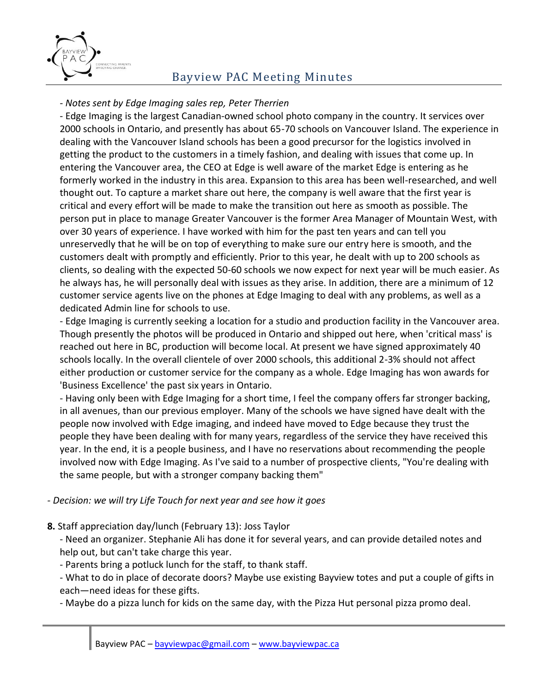

# Bayview PAC Meeting Minutes

## *- Notes sent by Edge Imaging sales rep, Peter Therrien*

- Edge Imaging is the largest Canadian-owned school photo company in the country. It services over 2000 schools in Ontario, and presently has about 65-70 schools on Vancouver Island. The experience in dealing with the Vancouver Island schools has been a good precursor for the logistics involved in getting the product to the customers in a timely fashion, and dealing with issues that come up. In entering the Vancouver area, the CEO at Edge is well aware of the market Edge is entering as he formerly worked in the industry in this area. Expansion to this area has been well-researched, and well thought out. To capture a market share out here, the company is well aware that the first year is critical and every effort will be made to make the transition out here as smooth as possible. The person put in place to manage Greater Vancouver is the former Area Manager of Mountain West, with over 30 years of experience. I have worked with him for the past ten years and can tell you unreservedly that he will be on top of everything to make sure our entry here is smooth, and the customers dealt with promptly and efficiently. Prior to this year, he dealt with up to 200 schools as clients, so dealing with the expected 50-60 schools we now expect for next year will be much easier. As he always has, he will personally deal with issues as they arise. In addition, there are a minimum of 12 customer service agents live on the phones at Edge Imaging to deal with any problems, as well as a dedicated Admin line for schools to use.

- Edge Imaging is currently seeking a location for a studio and production facility in the Vancouver area. Though presently the photos will be produced in Ontario and shipped out here, when 'critical mass' is reached out here in BC, production will become local. At present we have signed approximately 40 schools locally. In the overall clientele of over 2000 schools, this additional 2-3% should not affect either production or customer service for the company as a whole. Edge Imaging has won awards for 'Business Excellence' the past six years in Ontario.

- Having only been with Edge Imaging for a short time, I feel the company offers far stronger backing, in all avenues, than our previous employer. Many of the schools we have signed have dealt with the people now involved with Edge imaging, and indeed have moved to Edge because they trust the people they have been dealing with for many years, regardless of the service they have received this year. In the end, it is a people business, and I have no reservations about recommending the people involved now with Edge Imaging. As I've said to a number of prospective clients, "You're dealing with the same people, but with a stronger company backing them"

#### *- Decision: we will try Life Touch for next year and see how it goes*

#### **8.** Staff appreciation day/lunch (February 13): Joss Taylor

- Need an organizer. Stephanie Ali has done it for several years, and can provide detailed notes and help out, but can't take charge this year.

- Parents bring a potluck lunch for the staff, to thank staff.

- What to do in place of decorate doors? Maybe use existing Bayview totes and put a couple of gifts in each—need ideas for these gifts.

- Maybe do a pizza lunch for kids on the same day, with the Pizza Hut personal pizza promo deal.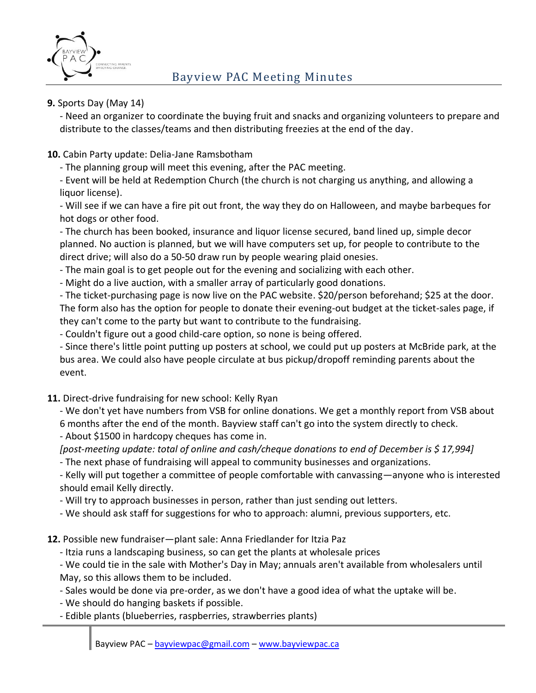

## **9.** Sports Day (May 14)

- Need an organizer to coordinate the buying fruit and snacks and organizing volunteers to prepare and distribute to the classes/teams and then distributing freezies at the end of the day.

# **10.** Cabin Party update: Delia-Jane Ramsbotham

- The planning group will meet this evening, after the PAC meeting.

- Event will be held at Redemption Church (the church is not charging us anything, and allowing a liquor license).

- Will see if we can have a fire pit out front, the way they do on Halloween, and maybe barbeques for hot dogs or other food.

- The church has been booked, insurance and liquor license secured, band lined up, simple decor planned. No auction is planned, but we will have computers set up, for people to contribute to the direct drive; will also do a 50-50 draw run by people wearing plaid onesies.

- The main goal is to get people out for the evening and socializing with each other.

- Might do a live auction, with a smaller array of particularly good donations.

- The ticket-purchasing page is now live on the PAC website. \$20/person beforehand; \$25 at the door. The form also has the option for people to donate their evening-out budget at the ticket-sales page, if they can't come to the party but want to contribute to the fundraising.

- Couldn't figure out a good child-care option, so none is being offered.

- Since there's little point putting up posters at school, we could put up posters at McBride park, at the bus area. We could also have people circulate at bus pickup/dropoff reminding parents about the event.

# **11.** Direct-drive fundraising for new school: Kelly Ryan

- We don't yet have numbers from VSB for online donations. We get a monthly report from VSB about 6 months after the end of the month. Bayview staff can't go into the system directly to check. - About \$1500 in hardcopy cheques has come in.

*[post-meeting update: total of online and cash/cheque donations to end of December is \$ 17,994]*

- The next phase of fundraising will appeal to community businesses and organizations.

- Kelly will put together a committee of people comfortable with canvassing—anyone who is interested should email Kelly directly.

- Will try to approach businesses in person, rather than just sending out letters.

- We should ask staff for suggestions for who to approach: alumni, previous supporters, etc.

**12.** Possible new fundraiser—plant sale: Anna Friedlander for Itzia Paz

- Itzia runs a landscaping business, so can get the plants at wholesale prices

- We could tie in the sale with Mother's Day in May; annuals aren't available from wholesalers until May, so this allows them to be included.

- Sales would be done via pre-order, as we don't have a good idea of what the uptake will be.

- We should do hanging baskets if possible.

- Edible plants (blueberries, raspberries, strawberries plants)